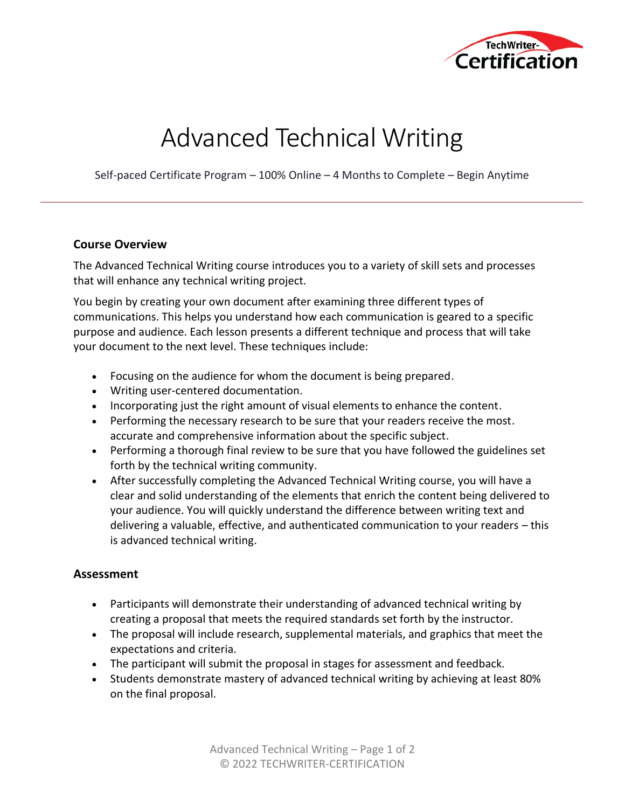

# Advanced Technical Writing

Self-paced Certificate Program – 100% Online – 4 Months to Complete – Begin Anytime

### **Course Overview**

The Advanced Technical Writing course introduces you to a variety of skill sets and processes that will enhance any technical writing project.

You begin by creating your own document after examining three different types of communications. This helps you understand how each communication is geared to a specific purpose and audience. Each lesson presents a different technique and process that will take your document to the next level. These techniques include:

- Focusing on the audience for whom the document is being prepared.
- Writing user-centered documentation.
- Incorporating just the right amount of visual elements to enhance the content.
- Performing the necessary research to be sure that your readers receive the most. accurate and comprehensive information about the specific subject.
- Performing a thorough final review to be sure that you have followed the guidelines set forth by the technical writing community.
- After successfully completing the Advanced Technical Writing course, you will have a clear and solid understanding of the elements that enrich the content being delivered to your audience. You will quickly understand the difference between writing text and delivering a valuable, effective, and authenticated communication to your readers – this is advanced technical writing.

## **Assessment**

- Participants will demonstrate their understanding of advanced technical writing by creating a proposal that meets the required standards set forth by the instructor.
- The proposal will include research, supplemental materials, and graphics that meet the expectations and criteria.
- The participant will submit the proposal in stages for assessment and feedback.
- Students demonstrate mastery of advanced technical writing by achieving at least 80% on the final proposal.